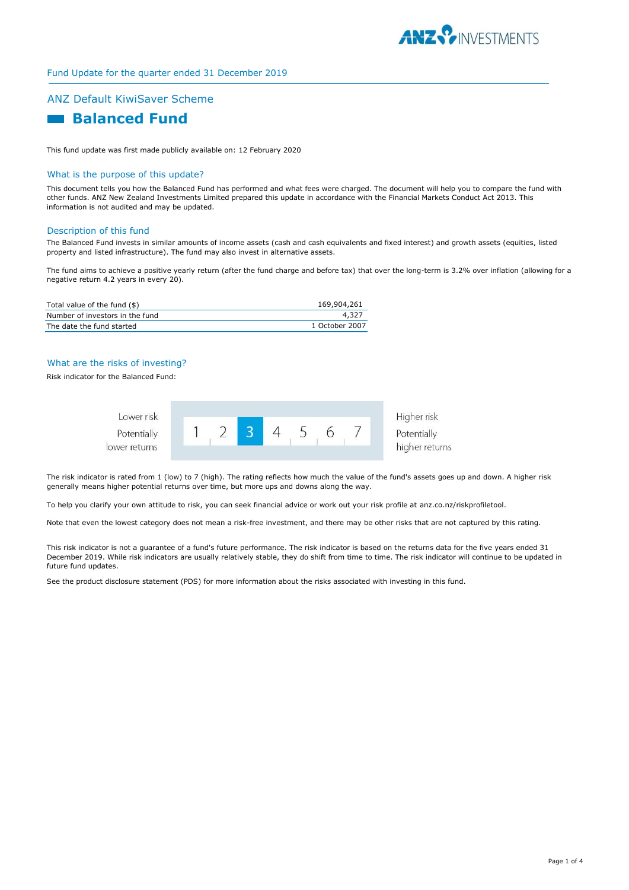

## ANZ Default KiwiSaver Scheme

# **Balanced Fund**

This fund update was first made publicly available on: 12 February 2020

#### What is the purpose of this update?

This document tells you how the Balanced Fund has performed and what fees were charged. The document will help you to compare the fund with other funds. ANZ New Zealand Investments Limited prepared this update in accordance with the Financial Markets Conduct Act 2013. This information is not audited and may be updated.

#### Description of this fund

The Balanced Fund invests in similar amounts of income assets (cash and cash equivalents and fixed interest) and growth assets (equities, listed property and listed infrastructure). The fund may also invest in alternative assets.

The fund aims to achieve a positive yearly return (after the fund charge and before tax) that over the long-term is 3.2% over inflation (allowing for a negative return 4.2 years in every 20).

| Total value of the fund (\$)    | 169,904,261    |
|---------------------------------|----------------|
| Number of investors in the fund | 4,327          |
| The date the fund started       | 1 October 2007 |

#### What are the risks of investing?

Risk indicator for the Balanced Fund:



The risk indicator is rated from 1 (low) to 7 (high). The rating reflects how much the value of the fund's assets goes up and down. A higher risk generally means higher potential returns over time, but more ups and downs along the way.

To help you clarify your own attitude to risk, you can seek financial advice or work out your risk profile at anz.co.nz/riskprofiletool.

Note that even the lowest category does not mean a risk-free investment, and there may be other risks that are not captured by this rating.

This risk indicator is not a guarantee of a fund's future performance. The risk indicator is based on the returns data for the five years ended 31 December 2019. While risk indicators are usually relatively stable, they do shift from time to time. The risk indicator will continue to be updated in future fund updates.

See the product disclosure statement (PDS) for more information about the risks associated with investing in this fund.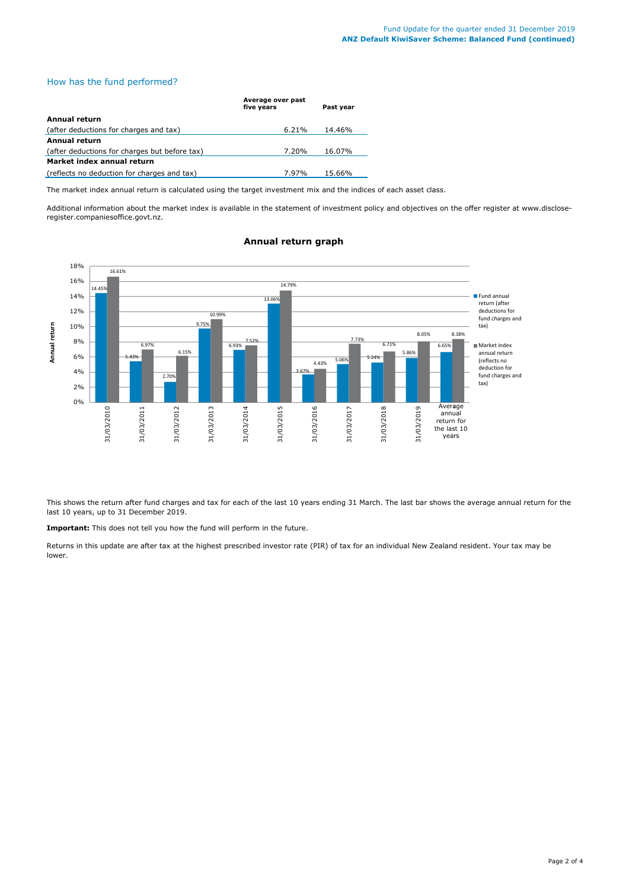## How has the fund performed?

|                                               | Average over past<br>five years | Past year |  |  |
|-----------------------------------------------|---------------------------------|-----------|--|--|
| Annual return                                 |                                 |           |  |  |
| (after deductions for charges and tax)        | $6.21\%$                        | 14.46%    |  |  |
| <b>Annual return</b>                          |                                 |           |  |  |
| (after deductions for charges but before tax) | 7.20%                           | 16.07%    |  |  |
| Market index annual return                    |                                 |           |  |  |
| (reflects no deduction for charges and tax)   | 7.97%                           | 15.66%    |  |  |

The market index annual return is calculated using the target investment mix and the indices of each asset class.

Additional information about the market index is available in the statement of investment policy and objectives on the offer register at www.discloseregister.companiesoffice.govt.nz.



## **Annual return graph**

This shows the return after fund charges and tax for each of the last 10 years ending 31 March. The last bar shows the average annual return for the last 10 years, up to 31 December 2019.

**Important:** This does not tell you how the fund will perform in the future.

Returns in this update are after tax at the highest prescribed investor rate (PIR) of tax for an individual New Zealand resident. Your tax may be lower.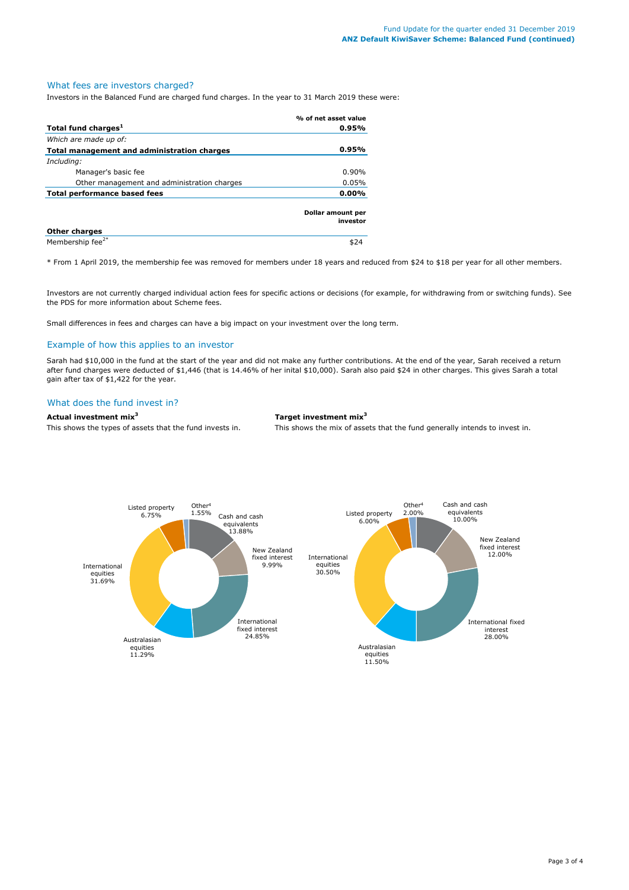# What fees are investors charged?

Investors in the Balanced Fund are charged fund charges. In the year to 31 March 2019 these were:

|                                             | % of net asset value          |
|---------------------------------------------|-------------------------------|
| Total fund charges <sup>1</sup>             | 0.95%                         |
| Which are made up of:                       |                               |
| Total management and administration charges | 0.95%                         |
| Including:                                  |                               |
| Manager's basic fee                         | $0.90\%$                      |
| Other management and administration charges | 0.05%                         |
| Total performance based fees                | 0.00%                         |
|                                             | Dollar amount per<br>investor |
| <b>Other charges</b>                        |                               |
| Membership fee <sup>2*</sup>                |                               |

\* From 1 April 2019, the membership fee was removed for members under 18 years and reduced from \$24 to \$18 per year for all other members.

Investors are not currently charged individual action fees for specific actions or decisions (for example, for withdrawing from or switching funds). See the PDS for more information about Scheme fees.

Small differences in fees and charges can have a big impact on your investment over the long term.

## Example of how this applies to an investor

Sarah had \$10,000 in the fund at the start of the year and did not make any further contributions. At the end of the year, Sarah received a return after fund charges were deducted of \$1,446 (that is 14.46% of her inital \$10,000). Sarah also paid \$24 in other charges. This gives Sarah a total gain after tax of \$1,422 for the year.

## What does the fund invest in?

## **Actual investment mix<sup>3</sup> Target investment mix<sup>3</sup>**

This shows the types of assets that the fund invests in. This shows the mix of assets that the fund generally intends to invest in.